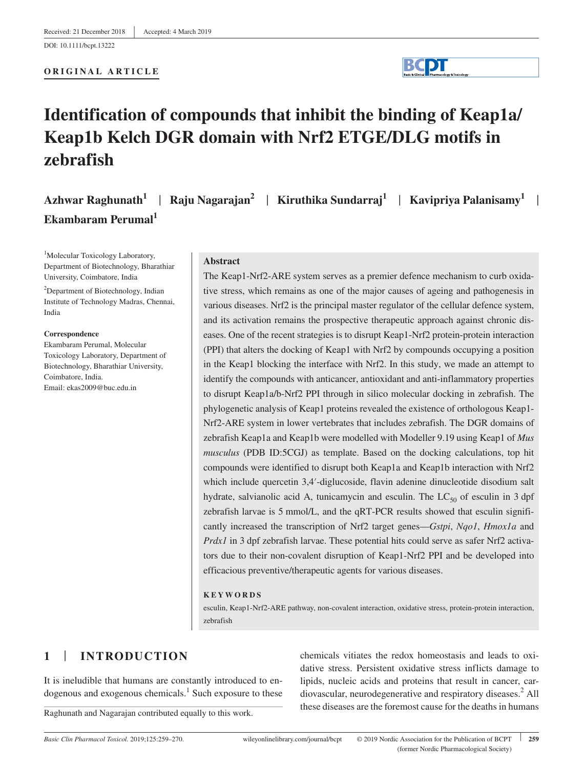DOI: 10.1111/bcpt.13222

### **ORIGINAL ARTICLE**

# **Identification of compounds that inhibit the binding of Keap1a/ Keap1b Kelch DGR domain with Nrf2 ETGE/DLG motifs in zebrafish**

| Azhwar Raghunath <sup>1</sup>   Raju Nagarajan <sup>2</sup>   Kiruthika Sundarraj <sup>1</sup>   Kavipriya Palanisamy <sup>1</sup> |  |  |
|------------------------------------------------------------------------------------------------------------------------------------|--|--|
| Ekambaram Perumal <sup>1</sup>                                                                                                     |  |  |

<sup>1</sup>Molecular Toxicology Laboratory, Department of Biotechnology, Bharathiar University, Coimbatore, India

<sup>2</sup>Department of Biotechnology, Indian Institute of Technology Madras, Chennai, India

### **Correspondence**

Ekambaram Perumal, Molecular Toxicology Laboratory, Department of Biotechnology, Bharathiar University, Coimbatore, India. Email: ekas2009@buc.edu.in

### **Abstract**

The Keap1‐Nrf2‐ARE system serves as a premier defence mechanism to curb oxidative stress, which remains as one of the major causes of ageing and pathogenesis in various diseases. Nrf2 is the principal master regulator of the cellular defence system, and its activation remains the prospective therapeutic approach against chronic diseases. One of the recent strategies is to disrupt Keap1‐Nrf2 protein‐protein interaction (PPI) that alters the docking of Keap1 with Nrf2 by compounds occupying a position in the Keap1 blocking the interface with Nrf2. In this study, we made an attempt to identify the compounds with anticancer, antioxidant and anti-inflammatory properties to disrupt Keap1a/b‐Nrf2 PPI through in silico molecular docking in zebrafish. The phylogenetic analysis of Keap1 proteins revealed the existence of orthologous Keap1‐ Nrf2‐ARE system in lower vertebrates that includes zebrafish. The DGR domains of zebrafish Keap1a and Keap1b were modelled with Modeller 9.19 using Keap1 of *Mus musculus* (PDB ID:5CGJ) as template. Based on the docking calculations, top hit compounds were identified to disrupt both Keap1a and Keap1b interaction with Nrf2 which include quercetin 3,4′-diglucoside, flavin adenine dinucleotide disodium salt hydrate, salvianolic acid A, tunicamycin and esculin. The  $LC_{50}$  of esculin in 3 dpf zebrafish larvae is 5 mmol/L, and the qRT-PCR results showed that esculin significantly increased the transcription of Nrf2 target genes—*Gstpi*, *Nqo1*, *Hmox1a* and *Prdx1* in 3 dpf zebrafish larvae. These potential hits could serve as safer Nrf2 activators due to their non‐covalent disruption of Keap1‐Nrf2 PPI and be developed into efficacious preventive/therapeutic agents for various diseases.

### **KEYWORDS**

esculin, Keap1‐Nrf2‐ARE pathway, non‐covalent interaction, oxidative stress, protein‐protein interaction, zebrafish

## **1** | **INTRODUCTION**

It is ineludible that humans are constantly introduced to endogenous and exogenous chemicals.<sup>1</sup> Such exposure to these

Raghunath and Nagarajan contributed equally to this work.

*Basic Clin Pharmacol Toxicol.* 2019;125:259–270. wileyonlinelibrary.com/journal/bcpt © 2019 Nordic Association for the Publication of BCPT | **259** (former Nordic Pharmacological Society)

chemicals vitiates the redox homeostasis and leads to oxidative stress. Persistent oxidative stress inflicts damage to lipids, nucleic acids and proteins that result in cancer, cardiovascular, neurodegenerative and respiratory diseases.<sup>2</sup> All these diseases are the foremost cause for the deaths in humans

|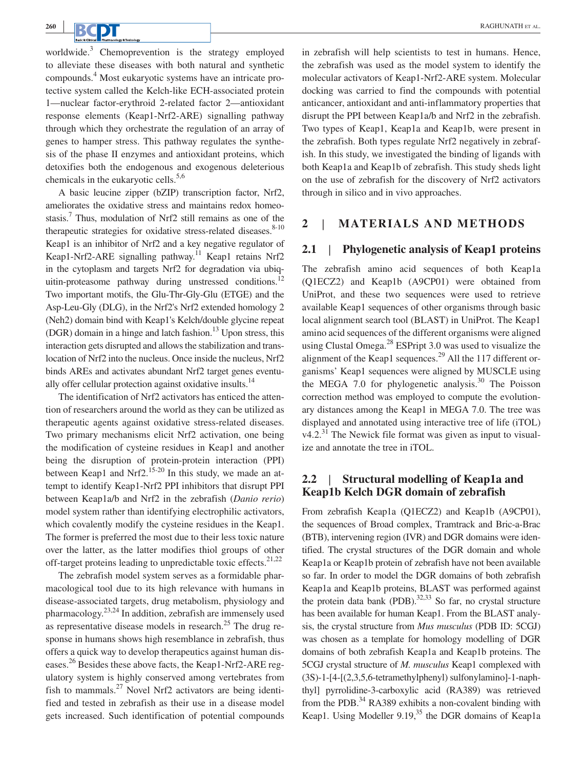worldwide.<sup>3</sup> Chemoprevention is the strategy employed to alleviate these diseases with both natural and synthetic compounds.<sup>4</sup> Most eukaryotic systems have an intricate protective system called the Kelch‐like ECH‐associated protein 1—nuclear factor‐erythroid 2‐related factor 2—antioxidant response elements (Keap1‐Nrf2‐ARE) signalling pathway through which they orchestrate the regulation of an array of genes to hamper stress. This pathway regulates the synthesis of the phase II enzymes and antioxidant proteins, which detoxifies both the endogenous and exogenous deleterious chemicals in the eukaryotic cells. $5,6$ 

A basic leucine zipper (bZIP) transcription factor, Nrf2, ameliorates the oxidative stress and maintains redox homeostasis.<sup>7</sup> Thus, modulation of Nrf2 still remains as one of the therapeutic strategies for oxidative stress-related diseases. $8-10$ Keap1 is an inhibitor of Nrf2 and a key negative regulator of Keap1-Nrf2-ARE signalling pathway.<sup>11</sup> Keap1 retains Nrf2 in the cytoplasm and targets Nrf2 for degradation via ubiquitin-proteasome pathway during unstressed conditions.<sup>12</sup> Two important motifs, the Glu‐Thr‐Gly‐Glu (ETGE) and the Asp‐Leu‐Gly (DLG), in the Nrf2's Nrf2 extended homology 2 (Neh2) domain bind with Keap1's Kelch/double glycine repeat (DGR) domain in a hinge and latch fashion.<sup>13</sup> Upon stress, this interaction gets disrupted and allows the stabilization and translocation of Nrf2 into the nucleus. Once inside the nucleus, Nrf2 binds AREs and activates abundant Nrf2 target genes eventually offer cellular protection against oxidative insults.<sup>14</sup>

The identification of Nrf2 activators has enticed the attention of researchers around the world as they can be utilized as therapeutic agents against oxidative stress‐related diseases. Two primary mechanisms elicit Nrf2 activation, one being the modification of cysteine residues in Keap1 and another being the disruption of protein-protein interaction (PPI) between Keap1 and Nrf2.<sup>15-20</sup> In this study, we made an attempt to identify Keap1‐Nrf2 PPI inhibitors that disrupt PPI between Keap1a/b and Nrf2 in the zebrafish (*Danio rerio*) model system rather than identifying electrophilic activators, which covalently modify the cysteine residues in the Keap1. The former is preferred the most due to their less toxic nature over the latter, as the latter modifies thiol groups of other off-target proteins leading to unpredictable toxic effects.<sup>21,22</sup>

The zebrafish model system serves as a formidable pharmacological tool due to its high relevance with humans in disease‐associated targets, drug metabolism, physiology and pharmacology.23,24 In addition, zebrafish are immensely used as representative disease models in research. $^{25}$  The drug response in humans shows high resemblance in zebrafish, thus offers a quick way to develop therapeutics against human diseases.<sup>26</sup> Besides these above facts, the Keap1‐Nrf2‐ARE regulatory system is highly conserved among vertebrates from fish to mammals.<sup>27</sup> Novel Nrf2 activators are being identified and tested in zebrafish as their use in a disease model gets increased. Such identification of potential compounds in zebrafish will help scientists to test in humans. Hence, the zebrafish was used as the model system to identify the molecular activators of Keap1‐Nrf2‐ARE system. Molecular docking was carried to find the compounds with potential anticancer, antioxidant and anti‐inflammatory properties that disrupt the PPI between Keap1a/b and Nrf2 in the zebrafish. Two types of Keap1, Keap1a and Keap1b, were present in the zebrafish. Both types regulate Nrf2 negatively in zebrafish. In this study, we investigated the binding of ligands with both Keap1a and Keap1b of zebrafish. This study sheds light on the use of zebrafish for the discovery of Nrf2 activators through in silico and in vivo approaches.

#### **2** |  **MATERIALS AND METHODS**

#### **2.1** |  **Phylogenetic analysis of Keap1 proteins**

The zebrafish amino acid sequences of both Keap1a (Q1ECZ2) and Keap1b (A9CP01) were obtained from UniProt, and these two sequences were used to retrieve available Keap1 sequences of other organisms through basic local alignment search tool (BLAST) in UniProt. The Keap1 amino acid sequences of the different organisms were aligned using Clustal Omega.<sup>28</sup> ESPript 3.0 was used to visualize the alignment of the Keap1 sequences.<sup>29</sup> All the 117 different organisms' Keap1 sequences were aligned by MUSCLE using the MEGA 7.0 for phylogenetic analysis. $30$  The Poisson correction method was employed to compute the evolutionary distances among the Keap1 in MEGA 7.0. The tree was displayed and annotated using interactive tree of life (iTOL)  $v4.2<sup>31</sup>$  The Newick file format was given as input to visualize and annotate the tree in iTOL.

### **2.2** |  **Structural modelling of Keap1a and Keap1b Kelch DGR domain of zebrafish**

From zebrafish Keap1a (Q1ECZ2) and Keap1b (A9CP01), the sequences of Broad complex, Tramtrack and Bric‐a‐Brac (BTB), intervening region (IVR) and DGR domains were identified. The crystal structures of the DGR domain and whole Keap1a or Keap1b protein of zebrafish have not been available so far. In order to model the DGR domains of both zebrafish Keap1a and Keap1b proteins, BLAST was performed against the protein data bank (PDB). $^{32,33}$  So far, no crystal structure has been available for human Keap1. From the BLAST analysis, the crystal structure from *Mus musculus* (PDB ID: 5CGJ) was chosen as a template for homology modelling of DGR domains of both zebrafish Keap1a and Keap1b proteins. The 5CGJ crystal structure of *M. musculus* Keap1 complexed with (3S)‐1‐[4‐[(2,3,5,6‐tetramethylphenyl) sulfonylamino]‐1‐naphthyl] pyrrolidine‐3‐carboxylic acid (RA389) was retrieved from the PDB.<sup>34</sup> RA389 exhibits a non-covalent binding with Keap1. Using Modeller  $9.19<sup>35</sup>$  the DGR domains of Keap1a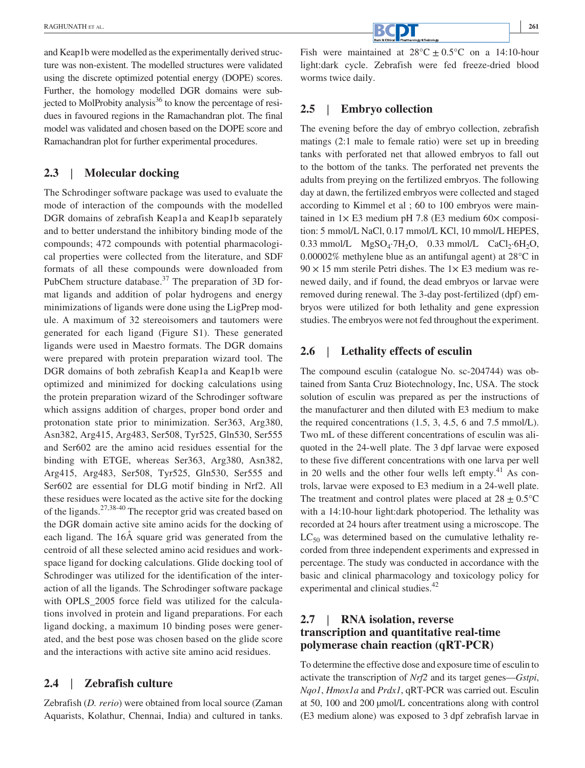and Keap1b were modelled as the experimentally derived structure was non-existent. The modelled structures were validated using the discrete optimized potential energy (DOPE) scores. Further, the homology modelled DGR domains were subjected to MolProbity analysis $36$  to know the percentage of residues in favoured regions in the Ramachandran plot. The final model was validated and chosen based on the DOPE score and Ramachandran plot for further experimental procedures.

#### **2.3** |  **Molecular docking**

The Schrodinger software package was used to evaluate the mode of interaction of the compounds with the modelled DGR domains of zebrafish Keap1a and Keap1b separately and to better understand the inhibitory binding mode of the compounds; 472 compounds with potential pharmacological properties were collected from the literature, and SDF formats of all these compounds were downloaded from PubChem structure database. $37$  The preparation of 3D format ligands and addition of polar hydrogens and energy minimizations of ligands were done using the LigPrep module. A maximum of 32 stereoisomers and tautomers were generated for each ligand (Figure S1). These generated ligands were used in Maestro formats. The DGR domains were prepared with protein preparation wizard tool. The DGR domains of both zebrafish Keap1a and Keap1b were optimized and minimized for docking calculations using the protein preparation wizard of the Schrodinger software which assigns addition of charges, proper bond order and protonation state prior to minimization. Ser363, Arg380, Asn382, Arg415, Arg483, Ser508, Tyr525, Gln530, Ser555 and Ser602 are the amino acid residues essential for the binding with ETGE, whereas Ser363, Arg380, Asn382, Arg415, Arg483, Ser508, Tyr525, Gln530, Ser555 and Ser602 are essential for DLG motif binding in Nrf2. All these residues were located as the active site for the docking of the ligands.27,38-40 The receptor grid was created based on the DGR domain active site amino acids for the docking of each ligand. The 16Å square grid was generated from the centroid of all these selected amino acid residues and workspace ligand for docking calculations. Glide docking tool of Schrodinger was utilized for the identification of the interaction of all the ligands. The Schrodinger software package with OPLS\_2005 force field was utilized for the calculations involved in protein and ligand preparations. For each ligand docking, a maximum 10 binding poses were generated, and the best pose was chosen based on the glide score and the interactions with active site amino acid residues.

#### **2.4** |  **Zebrafish culture**

Zebrafish (*D. rerio*) were obtained from local source (Zaman Aquarists, Kolathur, Chennai, India) and cultured in tanks. Fish were maintained at  $28^{\circ}C \pm 0.5^{\circ}C$  on a 14:10-hour light:dark cycle. Zebrafish were fed freeze‐dried blood worms twice daily.

#### **2.5** |  **Embryo collection**

The evening before the day of embryo collection, zebrafish matings (2:1 male to female ratio) were set up in breeding tanks with perforated net that allowed embryos to fall out to the bottom of the tanks. The perforated net prevents the adults from preying on the fertilized embryos. The following day at dawn, the fertilized embryos were collected and staged according to Kimmel et al ; 60 to 100 embryos were maintained in  $1 \times E3$  medium pH 7.8 (E3 medium 60 $\times$  composition: 5 mmol/L NaCl, 0.17 mmol/L KCl, 10 mmol/L HEPES, 0.33 mmol/L  $MgSO_4$ ·7H<sub>2</sub>O, 0.33 mmol/L CaCl<sub>2</sub>·6H<sub>2</sub>O, 0.00002% methylene blue as an antifungal agent) at 28°C in  $90 \times 15$  mm sterile Petri dishes. The  $1 \times E3$  medium was renewed daily, and if found, the dead embryos or larvae were removed during renewal. The 3‐day post‐fertilized (dpf) embryos were utilized for both lethality and gene expression studies. The embryos were not fed throughout the experiment.

#### **2.6** |  **Lethality effects of esculin**

The compound esculin (catalogue No. sc-204744) was obtained from Santa Cruz Biotechnology, Inc, USA. The stock solution of esculin was prepared as per the instructions of the manufacturer and then diluted with E3 medium to make the required concentrations (1.5, 3, 4.5, 6 and 7.5 mmol/L). Two mL of these different concentrations of esculin was aliquoted in the 24‐well plate. The 3 dpf larvae were exposed to these five different concentrations with one larva per well in 20 wells and the other four wells left empty. $41$  As controls, larvae were exposed to E3 medium in a 24‐well plate. The treatment and control plates were placed at  $28 \pm 0.5^{\circ}$ C with a 14:10-hour light:dark photoperiod. The lethality was recorded at 24 hours after treatment using a microscope. The  $LC_{50}$  was determined based on the cumulative lethality recorded from three independent experiments and expressed in percentage. The study was conducted in accordance with the basic and clinical pharmacology and toxicology policy for experimental and clinical studies.<sup>42</sup>

### **2.7** |  **RNA isolation, reverse transcription and quantitative real‐time polymerase chain reaction (qRT‐PCR)**

To determine the effective dose and exposure time of esculin to activate the transcription of *Nrf2* and its target genes—*Gstpi*, *Nqo1*, *Hmox1a* and *Prdx1*, qRT‐PCR was carried out. Esculin at 50, 100 and 200 µmol/L concentrations along with control (E3 medium alone) was exposed to 3 dpf zebrafish larvae in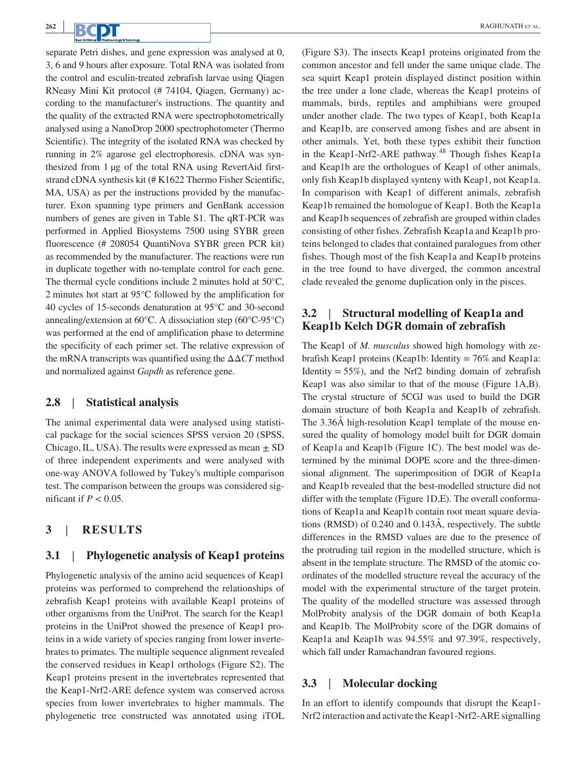separate Petri dishes, and gene expression was analysed at 0, 3, 6 and 9 hours after exposure. Total RNA was isolated from the control and esculin‐treated zebrafish larvae using Qiagen RNeasy Mini Kit protocol (# 74104, Qiagen, Germany) according to the manufacturer's instructions. The quantity and the quality of the extracted RNA were spectrophotometrically analysed using a NanoDrop 2000 spectrophotometer (Thermo Scientific). The integrity of the isolated RNA was checked by running in 2% agarose gel electrophoresis. cDNA was synthesized from 1 µg of the total RNA using RevertAid firststrand cDNA synthesis kit (# K1622 Thermo Fisher Scientific, MA, USA) as per the instructions provided by the manufacturer. Exon spanning type primers and GenBank accession numbers of genes are given in Table S1. The qRT‐PCR was performed in Applied Biosystems 7500 using SYBR green fluorescence (# 208054 QuantiNova SYBR green PCR kit) as recommended by the manufacturer. The reactions were run in duplicate together with no-template control for each gene. The thermal cycle conditions include 2 minutes hold at 50°C, 2 minutes hot start at 95°C followed by the amplification for 40 cycles of 15‐seconds denaturation at 95°C and 30‐second annealing/extension at 60°C. A dissociation step (60°C‐95°C) was performed at the end of amplification phase to determine the specificity of each primer set. The relative expression of the mRNA transcripts was quantified using the ΔΔ*CT* method and normalized against *Gapdh* as reference gene.

#### **2.8** |  **Statistical analysis**

The animal experimental data were analysed using statistical package for the social sciences SPSS version 20 (SPSS, Chicago, IL, USA). The results were expressed as mean  $\pm$  SD of three independent experiments and were analysed with one‐way ANOVA followed by Tukey's multiple comparison test. The comparison between the groups was considered significant if  $P < 0.05$ .

#### **3** |  **RESULTS**

#### **3.1** |  **Phylogenetic analysis of Keap1 proteins**

Phylogenetic analysis of the amino acid sequences of Keap1 proteins was performed to comprehend the relationships of zebrafish Keap1 proteins with available Keap1 proteins of other organisms from the UniProt. The search for the Keap1 proteins in the UniProt showed the presence of Keap1 proteins in a wide variety of species ranging from lower invertebrates to primates. The multiple sequence alignment revealed the conserved residues in Keap1 orthologs (Figure S2). The Keap1 proteins present in the invertebrates represented that the Keap1‐Nrf2‐ARE defence system was conserved across species from lower invertebrates to higher mammals. The phylogenetic tree constructed was annotated using iTOL

(Figure S3). The insects Keap1 proteins originated from the common ancestor and fell under the same unique clade. The sea squirt Keap1 protein displayed distinct position within the tree under a lone clade, whereas the Keap1 proteins of mammals, birds, reptiles and amphibians were grouped under another clade. The two types of Keap1, both Keap1a and Keap1b, are conserved among fishes and are absent in other animals. Yet, both these types exhibit their function in the Keap1-Nrf2-ARE pathway.<sup>48</sup> Though fishes Keap1a and Keap1b are the orthologues of Keap1 of other animals, only fish Keap1b displayed synteny with Keap1, not Keap1a. In comparison with Keap1 of different animals, zebrafish Keap1b remained the homologue of Keap1. Both the Keap1a and Keap1b sequences of zebrafish are grouped within clades consisting of other fishes. Zebrafish Keap1a and Keap1b proteins belonged to clades that contained paralogues from other fishes. Though most of the fish Keap1a and Keap1b proteins in the tree found to have diverged, the common ancestral clade revealed the genome duplication only in the pisces.

### **3.2** |  **Structural modelling of Keap1a and Keap1b Kelch DGR domain of zebrafish**

The Keap1 of *M. musculus* showed high homology with zebrafish Keap1 proteins (Keap1b: Identity = 76% and Keap1a: Identity  $= 55\%$ ), and the Nrf2 binding domain of zebrafish Keap1 was also similar to that of the mouse (Figure 1A,B). The crystal structure of 5CGJ was used to build the DGR domain structure of both Keap1a and Keap1b of zebrafish. The 3.36Å high-resolution Keap1 template of the mouse ensured the quality of homology model built for DGR domain of Keap1a and Keap1b (Figure 1C). The best model was determined by the minimal DOPE score and the three‐dimensional alignment. The superimposition of DGR of Keap1a and Keap1b revealed that the best‐modelled structure did not differ with the template (Figure 1D,E). The overall conformations of Keap1a and Keap1b contain root mean square deviations (RMSD) of 0.240 and 0.143Å, respectively. The subtle differences in the RMSD values are due to the presence of the protruding tail region in the modelled structure, which is absent in the template structure. The RMSD of the atomic coordinates of the modelled structure reveal the accuracy of the model with the experimental structure of the target protein. The quality of the modelled structure was assessed through MolProbity analysis of the DGR domain of both Keap1a and Keap1b. The MolProbity score of the DGR domains of Keap1a and Keap1b was 94.55% and 97.39%, respectively, which fall under Ramachandran favoured regions.

#### **3.3** |  **Molecular docking**

In an effort to identify compounds that disrupt the Keap1‐ Nrf2 interaction and activate the Keap1‐Nrf2‐ARE signalling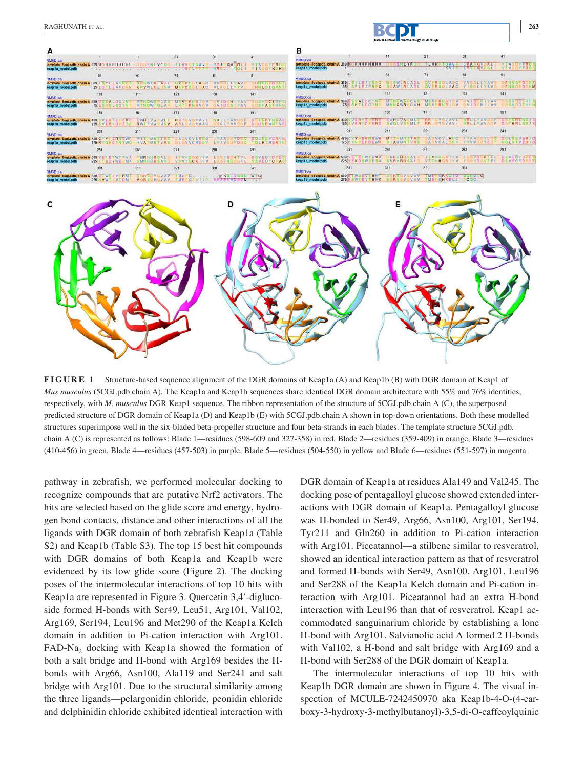

|                                                                                     |                                                                          | 11                                                                                                                       | 21                                     |                                                                |                                                |                                                                                 |                                            |                                        |                                                                                                  | 31                                    |                                         |
|-------------------------------------------------------------------------------------|--------------------------------------------------------------------------|--------------------------------------------------------------------------------------------------------------------------|----------------------------------------|----------------------------------------------------------------|------------------------------------------------|---------------------------------------------------------------------------------|--------------------------------------------|----------------------------------------|--------------------------------------------------------------------------------------------------|---------------------------------------|-----------------------------------------|
| <b>RMSD</b> : call<br>template Sogl.pdb, chain A 289 M HHHHHHHH<br>keap1a model.pdb |                                                                          | <b>Louisville Controller and Controller Controller Controller Controller Controller Controller Controller Controller</b> | <b>TLHK TOAV</b>                       | <b>CRECK</b><br>KV<br>CHAP<br>TEXAS LEAD HROW STOLE YIAGGYKOHS | <b>TVFROE</b>                                  | <b>RMSD: ca.</b><br>template Scotpdb, chain A 289M HHHHHHHH<br>keap1b_model.pdb |                                            | <b>THE YES</b>                         | <b>TLHK</b><br><b>DAY</b><br>The contract of the contract of the contract <b>KVTP</b> LBTPKVPOLT | <b>COMPAGNATION</b>                   | <b>ITVFRO</b><br><b>VIVODVFRO</b>       |
| <b>RMSD:ca</b>                                                                      |                                                                          |                                                                                                                          |                                        |                                                                |                                                | RMSD: ca                                                                        |                                            |                                        |                                                                                                  |                                       |                                         |
| template Scol.pdb, chain A 339<br>keap1a model.pdb                                  | 25 LDTLEAFDEH KNVWLKLGSM                                                 |                                                                                                                          | <b>MSPCSSLOAC</b>                      | VLFILLYTY                                                      | <b>BUILDED OF A</b><br><b>SRNLSLONNT</b>       | template 5cgLpdb, chain A 339<br>keap1b_model.pdb                               | 25 LSFLEAFN C                              | <b>AWLRLADI</b>                        | OVERSOLAAC                                                                                       | <b>GLLYAV</b><br>VISOLIVAV            | <b>ANNSPOCN</b><br>ORNNOPOGNI           |
| <b>RMSD</b> 'ca                                                                     | 101                                                                      | 111                                                                                                                      | 121                                    | 131                                                            | 141                                            | RMSD: ca                                                                        | 101                                        | 111                                    | 121                                                                                              | 131                                   | 141                                     |
| template Scot.pdb, chain A 389 U.S.E.A.L.D.C.V.T.<br>keap1a model.pdb               | 75 ESOSLSCYNI                                                            | <b>MINOWS CAS</b><br><b>MTNOWTOLAR</b>                                                                                   | <b>MEVARNRIOV</b><br><b>INTRANAVOV</b> | <b>OVIDGHIVAV</b><br><b>OVIDESIVAV</b>                         | <b>GOSHOCIHHS</b><br><b>GOSHASTHINE</b>        | template Scolpdb, chain A 389 0 5 5 A L DCYN<br>keap1b model.pdb                | <b>75DSHTLDCYN</b>                         | <b>MTHOWSACAS</b><br><b>MMNCWRPCAH</b> | $M \cong V$                                                                                      | <b>MIVAV</b>                          | <b>SHOCTHH</b><br><b>SHOCTHHI</b>       |
| RMSD: ca.                                                                           | 151                                                                      | 161                                                                                                                      | 171                                    | 181                                                            |                                                | RMSD:ca                                                                         | 151                                        | 161                                    | 171                                                                                              | 1Rt                                   | 191                                     |
| template Scol.pdb, chain A 439<br>keap1a model.pdb                                  | 125 S V ER Y D - E Y N                                                   | <b>EWHLVATML</b><br><b>RWTFVA-MSV</b>                                                                                    | <b>ARLOANVAAC</b>                      | CLYVV                                                          | DENRINGAE<br><b>DODNAWNTVE</b>                 | template ScoLpdb, chain A<br>keap1b model.pdb                                   | 125 SVERYDEERD                             | <b>EWHIVA-ML</b><br><b>UVOLVSPML</b>   | <b>RRICVOVAVI</b>                                                                                | NALLYAV                               | <b>DISTURBITION</b><br><b>DOTHRLSSA</b> |
| <b>RMSD:ca.</b>                                                                     | 201                                                                      | 211                                                                                                                      | 221                                    | 231                                                            | 241                                            | <b>BMSD</b> :ca                                                                 |                                            | 211                                    | 221                                                                                              | 23t                                   | 241                                     |
| template, Scol.pdb, chain A.<br>keap1a model.pdb                                    | 175 RYOPOTNTWO                                                           | <b>HVAPMNTVRS</b>                                                                                                        | VCVLHNC<br>GIGVVCMDNY                  | <b>ODDER</b><br>LYAV:                                          | TOLKIMERYN                                     | template Scgipdb, chain A<br>keap1b model.pdb                                   | <b>175CYNPERDEWR</b>                       | <b>MILLEMNI RE</b>                     | <b>AUVEVERNO</b><br>STAAMNIVAS CACVCALCNY                                                        | 1.7A<br>GYDRD<br>IYVMSGYDST NOLNIVERY | <b>DOLNSVERY</b>                        |
| <b>RMSD</b> ca                                                                      |                                                                          |                                                                                                                          | 271                                    |                                                                |                                                | RMSD: ca                                                                        |                                            |                                        | 271                                                                                              | <b>281</b>                            |                                         |
| template Scolodb, chain A 539 V E T E<br>keap1a model.pdb                           | 225   TRD.VWE MA                                                         | MR<br>HHREAL<br><b>SMNHCRSAH</b>                                                                                         | VSVYGCKIFV                             | <b>HOSE U</b>                                                  | <b>DEVECTDUDE</b><br><b>FNOGGEL SSVECYCLAS</b> | template 5cgLpdb, chain A 5391<br>keap1b_model.pdb                              | 225 VEKD SWSFSA                            | MAHHRSAL<br><b>SMRHRRSAL</b>           | VIISHORIYV                                                                                       | <b>上点 1 VD G NT 并上</b>                | <b>GYDRD</b><br><b>DSVECROPE</b>        |
| <b>RMSD</b> ca                                                                      | 301                                                                      | 311                                                                                                                      | 321                                    | 331                                                            | 341                                            | <b>PMSD</b> : ca                                                                | 301                                        | 311                                    | 321                                                                                              | 331                                   |                                         |
|                                                                                     | template Scolodb.chain A 589 UTWSEVTRMT. SORSOVOVAV TMERCI IRKOIDOON CTC |                                                                                                                          |                                        | 275 VWTLVTDMP VGRSGMGVAV IMEPCPGILP BEEEEVDEEM                 |                                                | template 5colodb, chain A 589 U.T.W.S.E.V.I.R.M.T.<br>keap1b model.pdb          | 275D SWTEVTHMK SCRSSVOVAV TMEPORKELI COC., | <b>IRSOVOVAY</b>                       | TMERCRKOTO GONGLICH                                                                              |                                       |                                         |



**FIGURE 1** Structure-based sequence alignment of the DGR domains of Keap1a (A) and Keap1b (B) with DGR domain of Keap1 of *Mus musculus* (5CGJ.pdb.chain A). The Keap1a and Keap1b sequences share identical DGR domain architecture with 55% and 76% identities, respectively, with *M. musculus* DGR Keap1 sequence. The ribbon representation of the structure of 5CGJ.pdb.chain A (C), the superposed predicted structure of DGR domain of Keap1a (D) and Keap1b (E) with 5CGJ.pdb.chain A shown in top-down orientations. Both these modelled structures superimpose well in the six‐bladed beta‐propeller structure and four beta‐strands in each blades. The template structure 5CGJ.pdb. chain A (C) is represented as follows: Blade 1—residues (598‐609 and 327‐358) in red, Blade 2—residues (359‐409) in orange, Blade 3—residues (410‐456) in green, Blade 4—residues (457‐503) in purple, Blade 5—residues (504‐550) in yellow and Blade 6—residues (551‐597) in magenta

pathway in zebrafish, we performed molecular docking to recognize compounds that are putative Nrf2 activators. The hits are selected based on the glide score and energy, hydrogen bond contacts, distance and other interactions of all the ligands with DGR domain of both zebrafish Keap1a (Table S2) and Keap1b (Table S3). The top 15 best hit compounds with DGR domains of both Keap1a and Keap1b were evidenced by its low glide score (Figure 2). The docking poses of the intermolecular interactions of top 10 hits with Keap1a are represented in Figure 3. Quercetin 3,4′‐diglucoside formed H-bonds with Ser49, Leu51, Arg101, Val102, Arg169, Ser194, Leu196 and Met290 of the Keap1a Kelch domain in addition to Pi‐cation interaction with Arg101. FAD-Na<sub>2</sub> docking with Keap1a showed the formation of both a salt bridge and H‐bond with Arg169 besides the H‐ bonds with Arg66, Asn100, Ala119 and Ser241 and salt bridge with Arg101. Due to the structural similarity among the three ligands—pelargonidin chloride, peonidin chloride and delphinidin chloride exhibited identical interaction with

DGR domain of Keap1a at residues Ala149 and Val245. The docking pose of pentagalloyl glucose showed extended interactions with DGR domain of Keap1a. Pentagalloyl glucose was H‐bonded to Ser49, Arg66, Asn100, Arg101, Ser194, Tyr211 and Gln260 in addition to Pi‐cation interaction with Arg101. Piceatannol—a stilbene similar to resveratrol, showed an identical interaction pattern as that of resveratrol and formed H‐bonds with Ser49, Asn100, Arg101, Leu196 and Ser288 of the Keap1a Kelch domain and Pi‐cation interaction with Arg101. Piceatannol had an extra H‐bond interaction with Leu196 than that of resveratrol. Keap1 accommodated sanguinarium chloride by establishing a lone H-bond with Arg101. Salvianolic acid A formed 2 H-bonds with Val102, a H-bond and salt bridge with Arg169 and a H‐bond with Ser288 of the DGR domain of Keap1a.

The intermolecular interactions of top 10 hits with Keap1b DGR domain are shown in Figure 4. The visual inspection of MCULE‐7242450970 aka Keap1b‐4‐O‐(4‐carboxy‐3‐hydroxy‐3‐methylbutanoyl)‐3,5‐di‐O‐caffeoylquinic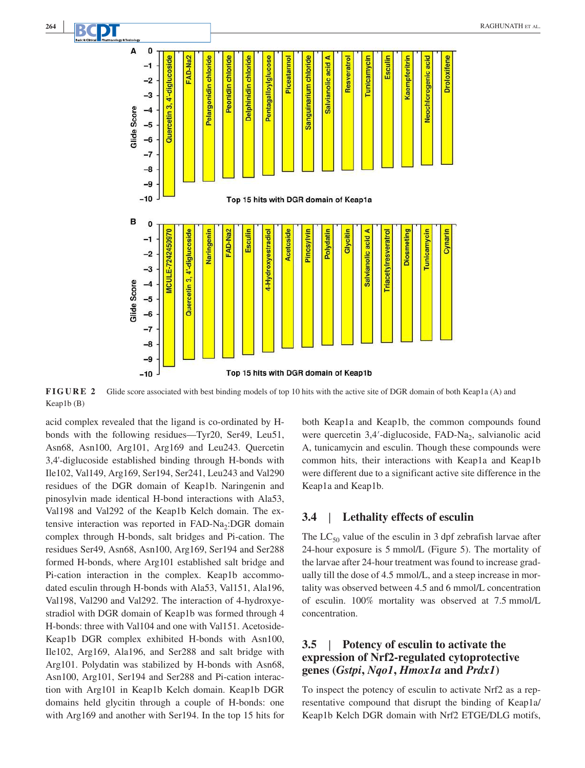

**FIGURE 2** Glide score associated with best binding models of top 10 hits with the active site of DGR domain of both Keap1a (A) and Keap1b (B)

acid complex revealed that the ligand is co-ordinated by Hbonds with the following residues—Tyr20, Ser49, Leu51, Asn68, Asn100, Arg101, Arg169 and Leu243. Quercetin 3,4'‐diglucoside established binding through H‐bonds with Ile102, Val149, Arg169, Ser194, Ser241, Leu243 and Val290 residues of the DGR domain of Keap1b. Naringenin and pinosylvin made identical H‐bond interactions with Ala53, Val198 and Val292 of the Keap1b Kelch domain. The extensive interaction was reported in FAD-Na<sub>2</sub>:DGR domain complex through H‐bonds, salt bridges and Pi‐cation. The residues Ser49, Asn68, Asn100, Arg169, Ser194 and Ser288 formed H‐bonds, where Arg101 established salt bridge and Pi-cation interaction in the complex. Keap1b accommodated esculin through H‐bonds with Ala53, Val151, Ala196, Val198, Val290 and Val292. The interaction of 4‐hydroxyestradiol with DGR domain of Keap1b was formed through 4 H-bonds: three with Val104 and one with Val151. Acetoside-Keap1b DGR complex exhibited H‐bonds with Asn100, Ile102, Arg169, Ala196, and Ser288 and salt bridge with Arg101. Polydatin was stabilized by H‐bonds with Asn68, Asn100, Arg101, Ser194 and Ser288 and Pi‐cation interaction with Arg101 in Keap1b Kelch domain. Keap1b DGR domains held glycitin through a couple of H‐bonds: one with Arg169 and another with Ser194. In the top 15 hits for

both Keap1a and Keap1b, the common compounds found were quercetin 3,4'-diglucoside, FAD-Na<sub>2</sub>, salvianolic acid A, tunicamycin and esculin. Though these compounds were common hits, their interactions with Keap1a and Keap1b were different due to a significant active site difference in the Keap1a and Keap1b.

#### **3.4** |  **Lethality effects of esculin**

The  $LC_{50}$  value of the esculin in 3 dpf zebrafish larvae after 24‐hour exposure is 5 mmol/L (Figure 5). The mortality of the larvae after 24‐hour treatment was found to increase gradually till the dose of 4.5 mmol/L, and a steep increase in mortality was observed between 4.5 and 6 mmol/L concentration of esculin. 100% mortality was observed at 7.5 mmol/L concentration.

### **3.5** |  **Potency of esculin to activate the expression of Nrf2‐regulated cytoprotective genes (***Gstpi***,** *Nqo1***,** *Hmox1a* **and** *Prdx1***)**

To inspect the potency of esculin to activate Nrf2 as a representative compound that disrupt the binding of Keap1a/ Keap1b Kelch DGR domain with Nrf2 ETGE/DLG motifs,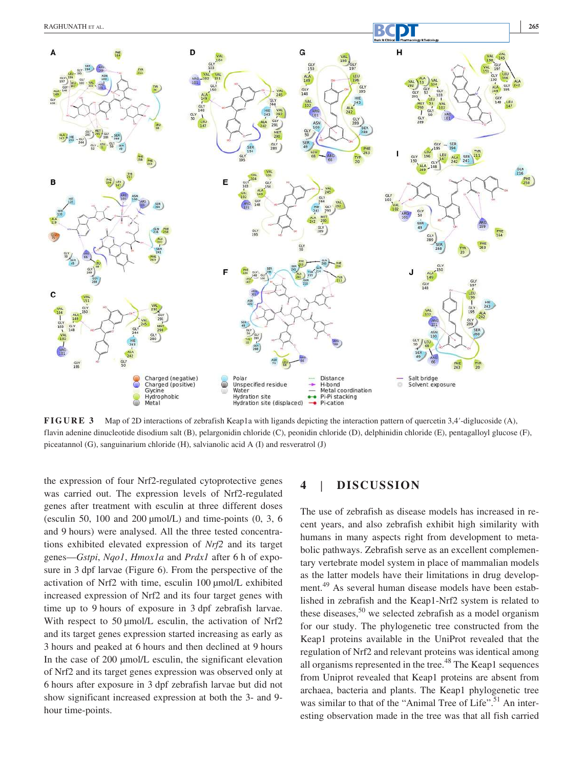

**FIGURE 3** Map of 2D interactions of zebrafish Keap1a with ligands depicting the interaction pattern of quercetin 3,4′‐diglucoside (A), flavin adenine dinucleotide disodium salt (B), pelargonidin chloride (C), peonidin chloride (D), delphinidin chloride (E), pentagalloyl glucose (F), piceatannol (G), sanguinarium chloride (H), salvianolic acid A (I) and resveratrol (J)

the expression of four Nrf2‐regulated cytoprotective genes was carried out. The expression levels of Nrf2‐regulated genes after treatment with esculin at three different doses (esculin 50, 100 and 200  $\mu$ mol/L) and time-points (0, 3, 6) and 9 hours) were analysed. All the three tested concentrations exhibited elevated expression of *Nrf2* and its target genes—*Gstpi*, *Nqo1*, *Hmox1a* and *Prdx1* after 6 h of exposure in 3 dpf larvae (Figure 6). From the perspective of the activation of Nrf2 with time, esculin 100 µmol/L exhibited increased expression of Nrf2 and its four target genes with time up to 9 hours of exposure in 3 dpf zebrafish larvae. With respect to 50 µmol/L esculin, the activation of Nrf2 and its target genes expression started increasing as early as 3 hours and peaked at 6 hours and then declined at 9 hours In the case of 200 µmol/L esculin, the significant elevation of Nrf2 and its target genes expression was observed only at 6 hours after exposure in 3 dpf zebrafish larvae but did not show significant increased expression at both the 3- and 9hour time-points.

#### **4** |  **DISCUSSION**

The use of zebrafish as disease models has increased in recent years, and also zebrafish exhibit high similarity with humans in many aspects right from development to metabolic pathways. Zebrafish serve as an excellent complementary vertebrate model system in place of mammalian models as the latter models have their limitations in drug development.<sup>49</sup> As several human disease models have been established in zebrafish and the Keap1‐Nrf2 system is related to these diseases,<sup>50</sup> we selected zebrafish as a model organism for our study. The phylogenetic tree constructed from the Keap1 proteins available in the UniProt revealed that the regulation of Nrf2 and relevant proteins was identical among all organisms represented in the tree. $48$  The Keap1 sequences from Uniprot revealed that Keap1 proteins are absent from archaea, bacteria and plants. The Keap1 phylogenetic tree was similar to that of the "Animal Tree of Life".<sup>51</sup> An interesting observation made in the tree was that all fish carried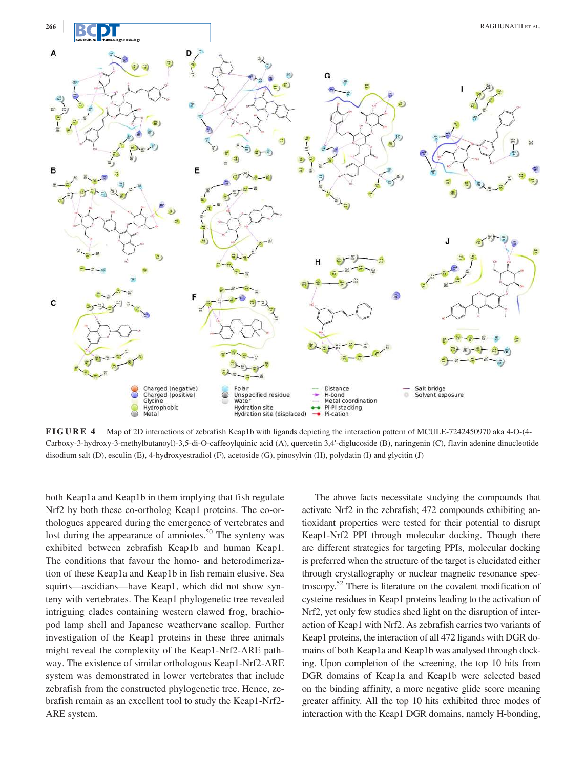

**FIGURE 4** Map of 2D interactions of zebrafish Keap1b with ligands depicting the interaction pattern of MCULE‐7242450970 aka 4‐O‐(4‐ Carboxy‐3‐hydroxy‐3‐methylbutanoyl)‐3,5‐di‐O‐caffeoylquinic acid (A), quercetin 3,4'‐diglucoside (B), naringenin (C), flavin adenine dinucleotide disodium salt (D), esculin (E), 4‐hydroxyestradiol (F), acetoside (G), pinosylvin (H), polydatin (I) and glycitin (J)

both Keap1a and Keap1b in them implying that fish regulate Nrf2 by both these co-ortholog Keap1 proteins. The co-orthologues appeared during the emergence of vertebrates and lost during the appearance of amniotes.<sup>50</sup> The synteny was exhibited between zebrafish Keap1b and human Keap1. The conditions that favour the homo- and heterodimerization of these Keap1a and Keap1b in fish remain elusive. Sea squirts—ascidians—have Keap1, which did not show synteny with vertebrates. The Keap1 phylogenetic tree revealed intriguing clades containing western clawed frog, brachiopod lamp shell and Japanese weathervane scallop. Further investigation of the Keap1 proteins in these three animals might reveal the complexity of the Keap1‐Nrf2‐ARE pathway. The existence of similar orthologous Keap1‐Nrf2‐ARE system was demonstrated in lower vertebrates that include zebrafish from the constructed phylogenetic tree. Hence, zebrafish remain as an excellent tool to study the Keap1‐Nrf2‐ ARE system.

The above facts necessitate studying the compounds that activate Nrf2 in the zebrafish; 472 compounds exhibiting antioxidant properties were tested for their potential to disrupt Keap1‐Nrf2 PPI through molecular docking. Though there are different strategies for targeting PPIs, molecular docking is preferred when the structure of the target is elucidated either through crystallography or nuclear magnetic resonance spectroscopy.<sup>52</sup> There is literature on the covalent modification of cysteine residues in Keap1 proteins leading to the activation of Nrf2, yet only few studies shed light on the disruption of interaction of Keap1 with Nrf2. As zebrafish carries two variants of Keap1 proteins, the interaction of all 472 ligands with DGR domains of both Keap1a and Keap1b was analysed through docking. Upon completion of the screening, the top 10 hits from DGR domains of Keap1a and Keap1b were selected based on the binding affinity, a more negative glide score meaning greater affinity. All the top 10 hits exhibited three modes of interaction with the Keap1 DGR domains, namely H-bonding,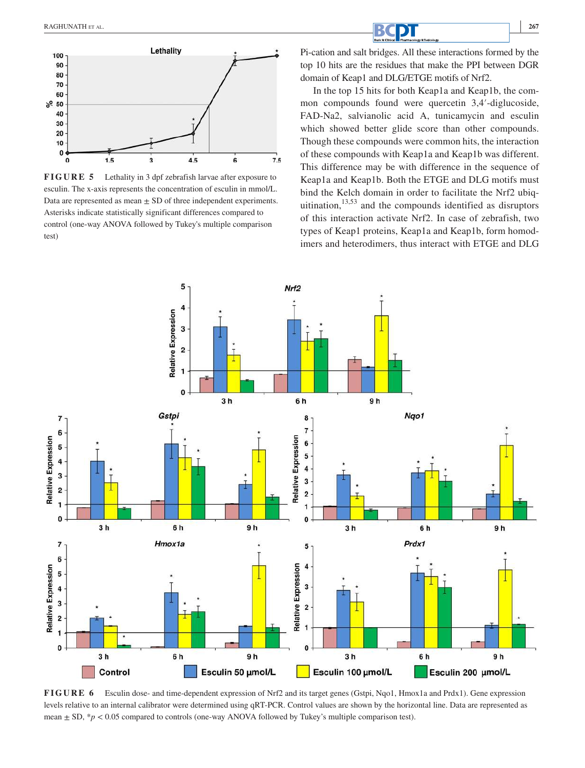

**FIGURE 5** Lethality in 3 dpf zebrafish larvae after exposure to esculin. The x-axis represents the concentration of esculin in mmol/L. Data are represented as mean  $\pm$  SD of three independent experiments. Asterisks indicate statistically significant differences compared to control (one‐way ANOVA followed by Tukey's multiple comparison test)

 **<sup>|</sup>** RAGHUNATH ET AL.**<sup>267</sup>**

Pi‐cation and salt bridges. All these interactions formed by the top 10 hits are the residues that make the PPI between DGR domain of Keap1 and DLG/ETGE motifs of Nrf2.

In the top 15 hits for both Keap1a and Keap1b, the common compounds found were quercetin 3,4′‐diglucoside, FAD‐Na2, salvianolic acid A, tunicamycin and esculin which showed better glide score than other compounds. Though these compounds were common hits, the interaction of these compounds with Keap1a and Keap1b was different. This difference may be with difference in the sequence of Keap1a and Keap1b. Both the ETGE and DLG motifs must bind the Kelch domain in order to facilitate the Nrf2 ubiquitination, $13,53$  and the compounds identified as disruptors of this interaction activate Nrf2. In case of zebrafish, two types of Keap1 proteins, Keap1a and Keap1b, form homodimers and heterodimers, thus interact with ETGE and DLG



**FIGURE 6** Esculin dose- and time-dependent expression of Nrf2 and its target genes (Gstpi, Nqo1, Hmox1a and Prdx1). Gene expression levels relative to an internal calibrator were determined using qRT-PCR. Control values are shown by the horizontal line. Data are represented as mean ± SD, \**p* < 0.05 compared to controls (one-way ANOVA followed by Tukey's multiple comparison test).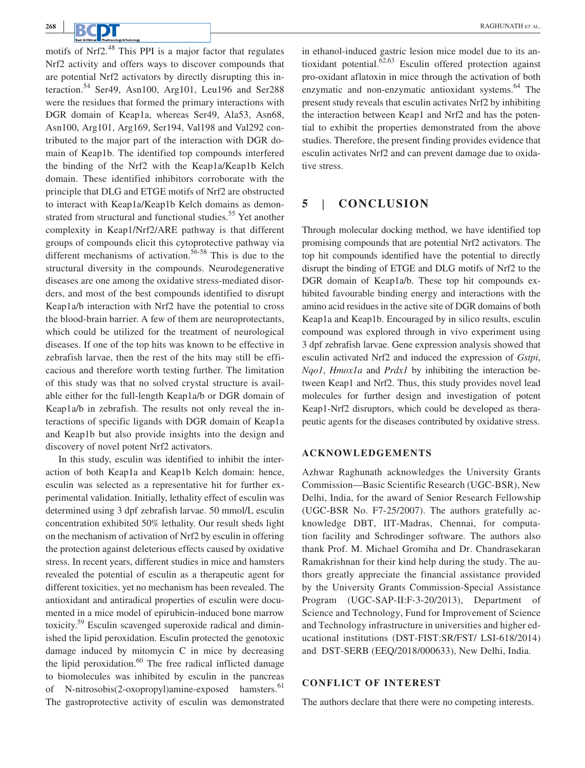motifs of Nrf2.<sup>48</sup> This PPI is a major factor that regulates Nrf2 activity and offers ways to discover compounds that are potential Nrf2 activators by directly disrupting this interaction.<sup>54</sup> Ser49, Asn100, Arg101, Leu196 and Ser288 were the residues that formed the primary interactions with DGR domain of Keap1a, whereas Ser49, Ala53, Asn68, Asn100, Arg101, Arg169, Ser194, Val198 and Val292 contributed to the major part of the interaction with DGR domain of Keap1b. The identified top compounds interfered the binding of the Nrf2 with the Keap1a/Keap1b Kelch domain. These identified inhibitors corroborate with the principle that DLG and ETGE motifs of Nrf2 are obstructed to interact with Keap1a/Keap1b Kelch domains as demonstrated from structural and functional studies.<sup>55</sup> Yet another complexity in Keap1/Nrf2/ARE pathway is that different groups of compounds elicit this cytoprotective pathway via different mechanisms of activation.<sup>56-58</sup> This is due to the structural diversity in the compounds. Neurodegenerative diseases are one among the oxidative stress‐mediated disorders, and most of the best compounds identified to disrupt Keap1a/b interaction with Nrf2 have the potential to cross the blood‐brain barrier. A few of them are neuroprotectants, which could be utilized for the treatment of neurological diseases. If one of the top hits was known to be effective in zebrafish larvae, then the rest of the hits may still be efficacious and therefore worth testing further. The limitation of this study was that no solved crystal structure is available either for the full‐length Keap1a/b or DGR domain of Keap1a/b in zebrafish. The results not only reveal the interactions of specific ligands with DGR domain of Keap1a and Keap1b but also provide insights into the design and discovery of novel potent Nrf2 activators.

In this study, esculin was identified to inhibit the interaction of both Keap1a and Keap1b Kelch domain: hence, esculin was selected as a representative hit for further experimental validation. Initially, lethality effect of esculin was determined using 3 dpf zebrafish larvae. 50 mmol/L esculin concentration exhibited 50% lethality. Our result sheds light on the mechanism of activation of Nrf2 by esculin in offering the protection against deleterious effects caused by oxidative stress. In recent years, different studies in mice and hamsters revealed the potential of esculin as a therapeutic agent for different toxicities, yet no mechanism has been revealed. The antioxidant and antiradical properties of esculin were documented in a mice model of epirubicin‐induced bone marrow toxicity.<sup>59</sup> Esculin scavenged superoxide radical and diminished the lipid peroxidation. Esculin protected the genotoxic damage induced by mitomycin C in mice by decreasing the lipid peroxidation. $60$  The free radical inflicted damage to biomolecules was inhibited by esculin in the pancreas of N-nitrosobis(2-oxopropyl)amine-exposed hamsters.<sup>61</sup> The gastroprotective activity of esculin was demonstrated

in ethanol‐induced gastric lesion mice model due to its antioxidant potential. $62,63$  Esculin offered protection against pro‐oxidant aflatoxin in mice through the activation of both enzymatic and non-enzymatic antioxidant systems.<sup>64</sup> The present study reveals that esculin activates Nrf2 by inhibiting the interaction between Keap1 and Nrf2 and has the potential to exhibit the properties demonstrated from the above studies. Therefore, the present finding provides evidence that esculin activates Nrf2 and can prevent damage due to oxidative stress.

#### **5** |  **CONCLUSION**

Through molecular docking method, we have identified top promising compounds that are potential Nrf2 activators. The top hit compounds identified have the potential to directly disrupt the binding of ETGE and DLG motifs of Nrf2 to the DGR domain of Keap1a/b. These top hit compounds exhibited favourable binding energy and interactions with the amino acid residues in the active site of DGR domains of both Keap1a and Keap1b. Encouraged by in silico results, esculin compound was explored through in vivo experiment using 3 dpf zebrafish larvae. Gene expression analysis showed that esculin activated Nrf2 and induced the expression of *Gstpi*, *Nqo1*, *Hmox1a* and *Prdx1* by inhibiting the interaction between Keap1 and Nrf2. Thus, this study provides novel lead molecules for further design and investigation of potent Keap1‐Nrf2 disruptors, which could be developed as therapeutic agents for the diseases contributed by oxidative stress.

### **ACKNOWLEDGEMENTS**

Azhwar Raghunath acknowledges the University Grants Commission—Basic Scientific Research (UGC‐BSR), New Delhi, India, for the award of Senior Research Fellowship (UGC‐BSR No. F7‐25/2007). The authors gratefully acknowledge DBT, IIT‐Madras, Chennai, for computation facility and Schrodinger software. The authors also thank Prof. M. Michael Gromiha and Dr. Chandrasekaran Ramakrishnan for their kind help during the study. The authors greatly appreciate the financial assistance provided by the University Grants Commission‐Special Assistance Program (UGC‐SAP‐II:F‐3‐20/2013), Department of Science and Technology, Fund for Improvement of Science and Technology infrastructure in universities and higher educational institutions (DST‐FIST:SR/FST/ LSI‐618/2014) and DST‐SERB (EEQ/2018/000633), New Delhi, India.

### **CONFLICT OF INTEREST**

The authors declare that there were no competing interests.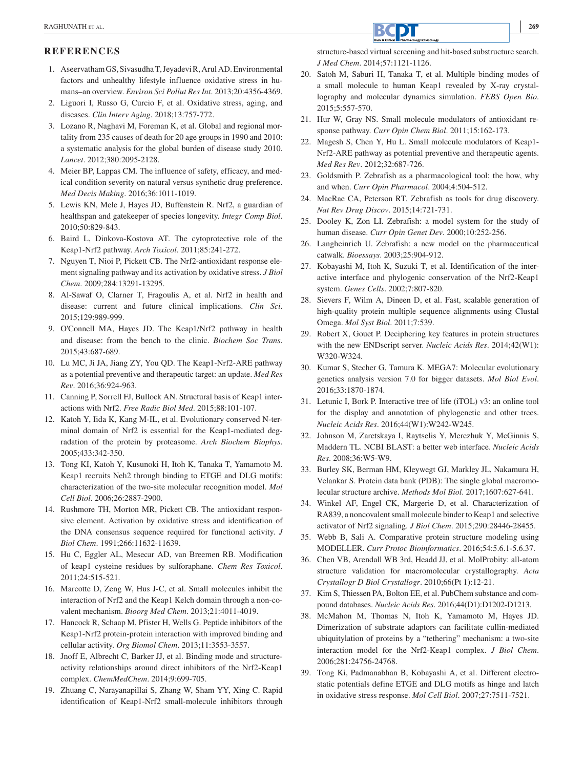### **REFERENCES**

- 1. Aseervatham GS, Sivasudha T, Jeyadevi R, Arul AD. Environmental factors and unhealthy lifestyle influence oxidative stress in humans–an overview. *Environ Sci Pollut Res Int*. 2013;20:4356‐4369.
- 2. Liguori I, Russo G, Curcio F, et al. Oxidative stress, aging, and diseases. *Clin Interv Aging*. 2018;13:757‐772.
- 3. Lozano R, Naghavi M, Foreman K, et al. Global and regional mortality from 235 causes of death for 20 age groups in 1990 and 2010: a systematic analysis for the global burden of disease study 2010. *Lancet*. 2012;380:2095‐2128.
- 4. Meier BP, Lappas CM. The influence of safety, efficacy, and medical condition severity on natural versus synthetic drug preference. *Med Decis Making*. 2016;36:1011‐1019.
- 5. Lewis KN, Mele J, Hayes JD, Buffenstein R. Nrf2, a guardian of healthspan and gatekeeper of species longevity. *Integr Comp Biol*. 2010;50:829‐843.
- 6. Baird L, Dinkova‐Kostova AT. The cytoprotective role of the Keap1‐Nrf2 pathway. *Arch Toxicol*. 2011;85:241‐272.
- 7. Nguyen T, Nioi P, Pickett CB. The Nrf2‐antioxidant response element signaling pathway and its activation by oxidative stress. *J Biol Chem*. 2009;284:13291‐13295.
- 8. Al‐Sawaf O, Clarner T, Fragoulis A, et al. Nrf2 in health and disease: current and future clinical implications. *Clin Sci*. 2015;129:989‐999.
- 9. O'Connell MA, Hayes JD. The Keap1/Nrf2 pathway in health and disease: from the bench to the clinic. *Biochem Soc Trans*. 2015;43:687‐689.
- 10. Lu MC, Ji JA, Jiang ZY, You QD. The Keap1‐Nrf2‐ARE pathway as a potential preventive and therapeutic target: an update. *Med Res Rev*. 2016;36:924‐963.
- 11. Canning P, Sorrell FJ, Bullock AN. Structural basis of Keap1 interactions with Nrf2. *Free Radic Biol Med*. 2015;88:101‐107.
- 12. Katoh Y, Iida K, Kang M‐IL, et al. Evolutionary conserved N‐terminal domain of Nrf2 is essential for the Keap1‐mediated degradation of the protein by proteasome. *Arch Biochem Biophys*. 2005;433:342‐350.
- 13. Tong KI, Katoh Y, Kusunoki H, Itoh K, Tanaka T, Yamamoto M. Keap1 recruits Neh2 through binding to ETGE and DLG motifs: characterization of the two‐site molecular recognition model. *Mol Cell Biol*. 2006;26:2887‐2900.
- 14. Rushmore TH, Morton MR, Pickett CB. The antioxidant responsive element. Activation by oxidative stress and identification of the DNA consensus sequence required for functional activity. *J Biol Chem*. 1991;266:11632‐11639.
- 15. Hu C, Eggler AL, Mesecar AD, van Breemen RB. Modification of keap1 cysteine residues by sulforaphane. *Chem Res Toxicol*. 2011;24:515‐521.
- 16. Marcotte D, Zeng W, Hus J‐C, et al. Small molecules inhibit the interaction of Nrf2 and the Keap1 Kelch domain through a non‐covalent mechanism. *Bioorg Med Chem*. 2013;21:4011‐4019.
- 17. Hancock R, Schaap M, Pfister H, Wells G. Peptide inhibitors of the Keap1-Nrf2 protein-protein interaction with improved binding and cellular activity. *Org Biomol Chem*. 2013;11:3553‐3557.
- 18. Jnoff E, Albrecht C, Barker JJ, et al. Binding mode and structureactivity relationships around direct inhibitors of the Nrf2‐Keap1 complex. *ChemMedChem*. 2014;9:699‐705.
- 19. Zhuang C, Narayanapillai S, Zhang W, Sham YY, Xing C. Rapid identification of Keap1‐Nrf2 small‐molecule inhibitors through

structure‐based virtual screening and hit‐based substructure search. *J Med Chem*. 2014;57:1121‐1126.

- 20. Satoh M, Saburi H, Tanaka T, et al. Multiple binding modes of a small molecule to human Keap1 revealed by X‐ray crystallography and molecular dynamics simulation. *FEBS Open Bio*. 2015;5:557‐570.
- 21. Hur W, Gray NS. Small molecule modulators of antioxidant response pathway. *Curr Opin Chem Biol.* 2011;15:162-173.
- 22. Magesh S, Chen Y, Hu L. Small molecule modulators of Keap1‐ Nrf2‐ARE pathway as potential preventive and therapeutic agents. *Med Res Rev*. 2012;32:687‐726.
- 23. Goldsmith P. Zebrafish as a pharmacological tool: the how, why and when. *Curr Opin Pharmacol*. 2004;4:504‐512.
- 24. MacRae CA, Peterson RT. Zebrafish as tools for drug discovery. *Nat Rev Drug Discov*. 2015;14:721‐731.
- 25. Dooley K, Zon LI. Zebrafish: a model system for the study of human disease. *Curr Opin Genet Dev*. 2000;10:252‐256.
- 26. Langheinrich U. Zebrafish: a new model on the pharmaceutical catwalk. *Bioessays*. 2003;25:904‐912.
- 27. Kobayashi M, Itoh K, Suzuki T, et al. Identification of the interactive interface and phylogenic conservation of the Nrf2‐Keap1 system. *Genes Cells*. 2002;7:807‐820.
- 28. Sievers F, Wilm A, Dineen D, et al. Fast, scalable generation of high-quality protein multiple sequence alignments using Clustal Omega. *Mol Syst Biol*. 2011;7:539.
- 29. Robert X, Gouet P. Deciphering key features in protein structures with the new ENDscript server. *Nucleic Acids Res*. 2014;42(W1): W320‐W324.
- 30. Kumar S, Stecher G, Tamura K. MEGA7: Molecular evolutionary genetics analysis version 7.0 for bigger datasets. *Mol Biol Evol*. 2016;33:1870‐1874.
- 31. Letunic I, Bork P. Interactive tree of life (iTOL) v3: an online tool for the display and annotation of phylogenetic and other trees. *Nucleic Acids Res*. 2016;44(W1):W242‐W245.
- 32. Johnson M, Zaretskaya I, Raytselis Y, Merezhuk Y, McGinnis S, Maddern TL. NCBI BLAST: a better web interface. *Nucleic Acids Res*. 2008;36:W5‐W9.
- 33. Burley SK, Berman HM, Kleywegt GJ, Markley JL, Nakamura H, Velankar S. Protein data bank (PDB): The single global macromolecular structure archive. *Methods Mol Biol*. 2017;1607:627‐641.
- 34. Winkel AF, Engel CK, Margerie D, et al. Characterization of RA839, a noncovalent small molecule binder to Keap1 and selective activator of Nrf2 signaling. *J Biol Chem*. 2015;290:28446‐28455.
- 35. Webb B, Sali A. Comparative protein structure modeling using MODELLER. *Curr Protoc Bioinformatics*. 2016;54:5.6.1‐5.6.37.
- 36. Chen VB, Arendall WB 3rd, Headd JJ, et al. MolProbity: all‐atom structure validation for macromolecular crystallography. *Acta Crystallogr D Biol Crystallogr*. 2010;66(Pt 1):12‐21.
- 37. Kim S, Thiessen PA, Bolton EE, et al. PubChem substance and compound databases. *Nucleic Acids Res*. 2016;44(D1):D1202‐D1213.
- 38. McMahon M, Thomas N, Itoh K, Yamamoto M, Hayes JD. Dimerization of substrate adaptors can facilitate cullin‐mediated ubiquitylation of proteins by a "tethering" mechanism: a two‐site interaction model for the Nrf2‐Keap1 complex. *J Biol Chem*. 2006;281:24756‐24768.
- 39. Tong Ki, Padmanabhan B, Kobayashi A, et al. Different electrostatic potentials define ETGE and DLG motifs as hinge and latch in oxidative stress response. *Mol Cell Biol*. 2007;27:7511‐7521.